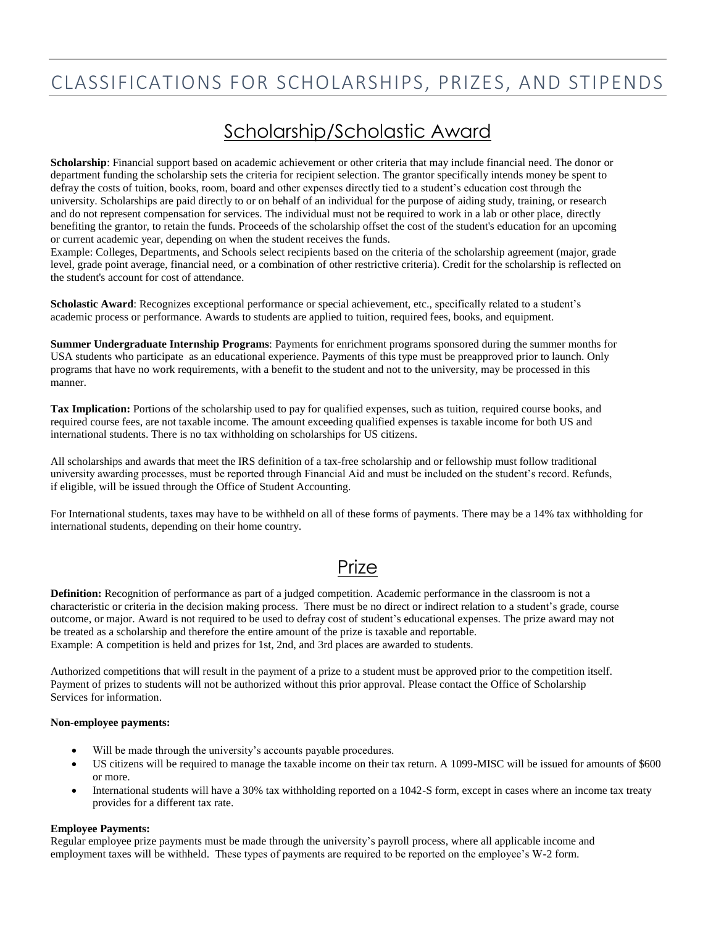# CLASSIFICATIONS FOR SCHOLARSHIPS, PRIZES, AND STIPENDS

### Scholarship/Scholastic Award

**Scholarship**: Financial support based on academic achievement or other criteria that may include financial need. The donor or department funding the scholarship sets the criteria for recipient selection. The grantor specifically intends money be spent to defray the costs of tuition, books, room, board and other expenses directly tied to a student's education cost through the university. Scholarships are paid directly to or on behalf of an individual for the purpose of aiding study, training, or research and do not represent compensation for services. The individual must not be required to work in a lab or other place, directly benefiting the grantor, to retain the funds. Proceeds of the scholarship offset the cost of the student's education for an upcoming or current academic year, depending on when the student receives the funds.

Example: Colleges, Departments, and Schools select recipients based on the criteria of the scholarship agreement (major, grade level, grade point average, financial need, or a combination of other restrictive criteria). Credit for the scholarship is reflected on the student's account for cost of attendance.

**Scholastic Award**: Recognizes exceptional performance or special achievement, etc., specifically related to a student's academic process or performance. Awards to students are applied to tuition, required fees, books, and equipment.

**Summer Undergraduate Internship Programs**: Payments for enrichment programs sponsored during the summer months for USA students who participate as an educational experience. Payments of this type must be preapproved prior to launch. Only programs that have no work requirements, with a benefit to the student and not to the university, may be processed in this manner.

**Tax Implication:** Portions of the scholarship used to pay for qualified expenses, such as tuition, required course books, and required course fees, are not taxable income. The amount exceeding qualified expenses is taxable income for both US and international students. There is no tax withholding on scholarships for US citizens.

All scholarships and awards that meet the IRS definition of a tax-free scholarship and or fellowship must follow traditional university awarding processes, must be reported through Financial Aid and must be included on the student's record. Refunds, if eligible, will be issued through the Office of Student Accounting.

For International students, taxes may have to be withheld on all of these forms of payments. There may be a 14% tax withholding for international students, depending on their home country.

### Prize

**Definition:** Recognition of performance as part of a judged competition. Academic performance in the classroom is not a characteristic or criteria in the decision making process. There must be no direct or indirect relation to a student's grade, course outcome, or major. Award is not required to be used to defray cost of student's educational expenses. The prize award may not be treated as a scholarship and therefore the entire amount of the prize is taxable and reportable. Example: A competition is held and prizes for 1st, 2nd, and 3rd places are awarded to students.

Authorized competitions that will result in the payment of a prize to a student must be approved prior to the competition itself. Payment of prizes to students will not be authorized without this prior approval. Please contact the Office of Scholarship Services for information.

#### **Non-employee payments:**

- Will be made through the university's accounts payable procedures.
- US citizens will be required to manage the taxable income on their tax return. A 1099-MISC will be issued for amounts of \$600 or more.
- International students will have a 30% tax withholding reported on a 1042-S form, except in cases where an income tax treaty provides for a different tax rate.

#### **Employee Payments:**

Regular employee prize payments must be made through the university's payroll process, where all applicable income and employment taxes will be withheld. These types of payments are required to be reported on the employee's W-2 form.